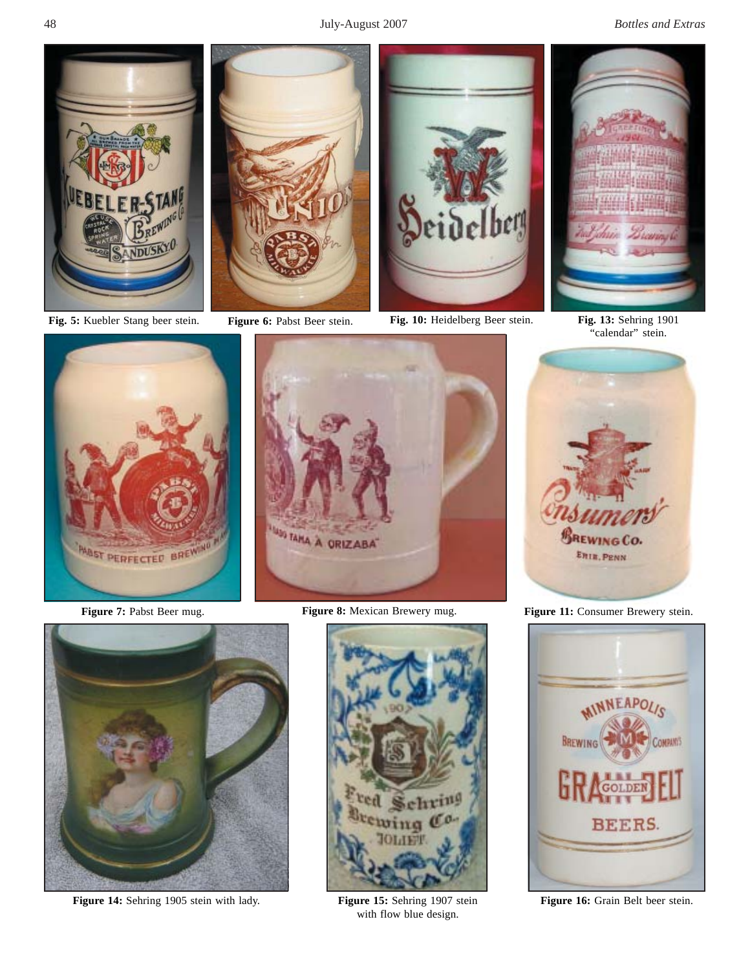48 July-August 2007 *Bottles and Extras*







**Fig. 5:** Kuebler Stang beer stein. **Figure 6:** Pabst Beer stein. **Fig. 10:** Heidelberg Beer stein. **Fig. 13:** Sehring 1901



"calendar" stein.







**Figure 14:** Sehring 1905 stein with lady. **Figure 15:** Sehring 1907 stein



with flow blue design.



**Figure 7:** Pabst Beer mug. **Figure 8:** Mexican Brewery mug. **Figure 11:** Consumer Brewery stein.



**Figure 16:** Grain Belt beer stein.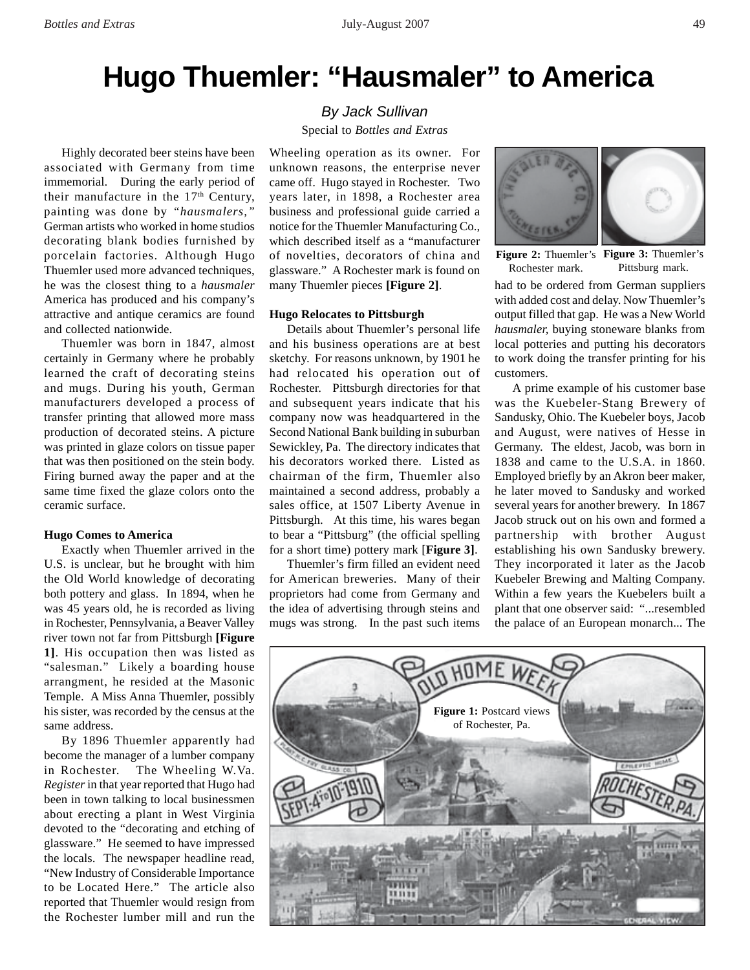# **Hugo Thuemler: "Hausmaler" to America**

Highly decorated beer steins have been associated with Germany from time immemorial. During the early period of their manufacture in the  $17<sup>th</sup>$  Century, painting was done by *"hausmalers,"* German artists who worked in home studios decorating blank bodies furnished by porcelain factories. Although Hugo Thuemler used more advanced techniques, he was the closest thing to a *hausmaler* America has produced and his company's attractive and antique ceramics are found and collected nationwide.

Thuemler was born in 1847, almost certainly in Germany where he probably learned the craft of decorating steins and mugs. During his youth, German manufacturers developed a process of transfer printing that allowed more mass production of decorated steins. A picture was printed in glaze colors on tissue paper that was then positioned on the stein body. Firing burned away the paper and at the same time fixed the glaze colors onto the ceramic surface.

#### **Hugo Comes to America**

Exactly when Thuemler arrived in the U.S. is unclear, but he brought with him the Old World knowledge of decorating both pottery and glass. In 1894, when he was 45 years old, he is recorded as living in Rochester, Pennsylvania, a Beaver Valley river town not far from Pittsburgh **[Figure 1]**. His occupation then was listed as "salesman." Likely a boarding house arrangment, he resided at the Masonic Temple. A Miss Anna Thuemler, possibly his sister, was recorded by the census at the same address.

By 1896 Thuemler apparently had become the manager of a lumber company in Rochester. The Wheeling W.Va. *Register* in that year reported that Hugo had been in town talking to local businessmen about erecting a plant in West Virginia devoted to the "decorating and etching of glassware." He seemed to have impressed the locals. The newspaper headline read, "New Industry of Considerable Importance to be Located Here." The article also reported that Thuemler would resign from the Rochester lumber mill and run the

## *By Jack Sullivan* Special to *Bottles and Extras*

Wheeling operation as its owner. For unknown reasons, the enterprise never came off. Hugo stayed in Rochester. Two years later, in 1898, a Rochester area business and professional guide carried a notice for the Thuemler Manufacturing Co., which described itself as a "manufacturer of novelties, decorators of china and glassware." A Rochester mark is found on many Thuemler pieces **[Figure 2]**.

### **Hugo Relocates to Pittsburgh**

Details about Thuemler's personal life and his business operations are at best sketchy. For reasons unknown, by 1901 he had relocated his operation out of Rochester. Pittsburgh directories for that and subsequent years indicate that his company now was headquartered in the Second National Bank building in suburban Sewickley, Pa. The directory indicates that his decorators worked there. Listed as chairman of the firm, Thuemler also maintained a second address, probably a sales office, at 1507 Liberty Avenue in Pittsburgh. At this time, his wares began to bear a "Pittsburg" (the official spelling for a short time) pottery mark [**Figure 3]**.

Thuemler's firm filled an evident need for American breweries. Many of their proprietors had come from Germany and the idea of advertising through steins and mugs was strong. In the past such items



**Figure 2:** Thuemler's **Figure 3:** Thuemler's Rochester mark. Pittsburg mark.

had to be ordered from German suppliers with added cost and delay. Now Thuemler's output filled that gap. He was a New World *hausmaler,* buying stoneware blanks from local potteries and putting his decorators to work doing the transfer printing for his customers.

A prime example of his customer base was the Kuebeler-Stang Brewery of Sandusky, Ohio. The Kuebeler boys, Jacob and August, were natives of Hesse in Germany. The eldest, Jacob, was born in 1838 and came to the U.S.A. in 1860. Employed briefly by an Akron beer maker, he later moved to Sandusky and worked several years for another brewery. In 1867 Jacob struck out on his own and formed a partnership with brother August establishing his own Sandusky brewery. They incorporated it later as the Jacob Kuebeler Brewing and Malting Company. Within a few years the Kuebelers built a plant that one observer said: "...resembled the palace of an European monarch... The

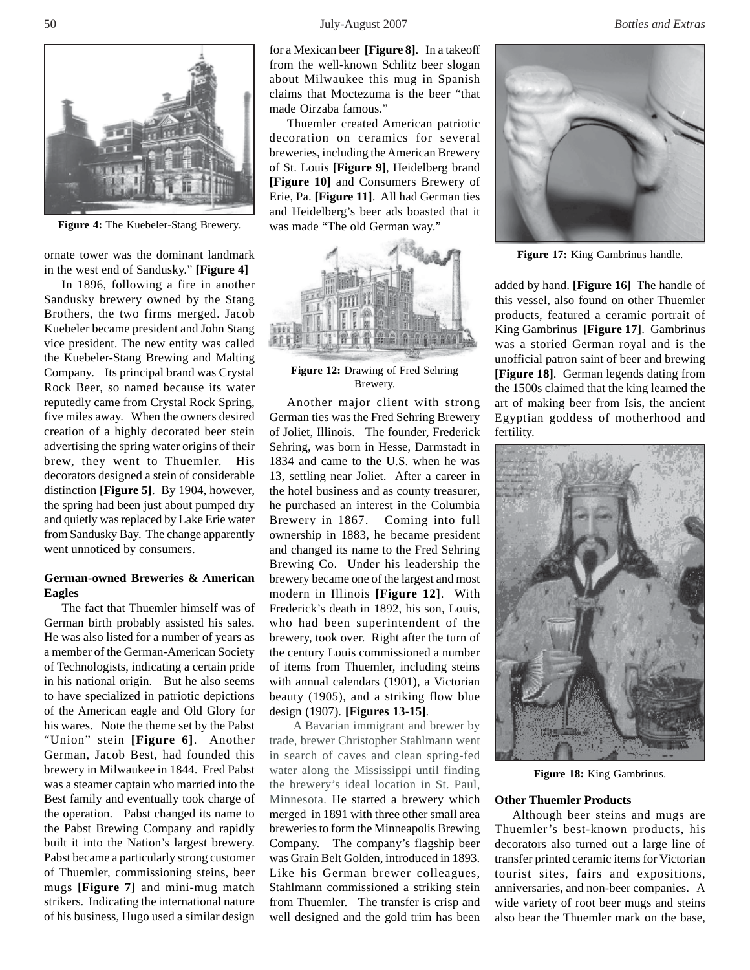

**Figure 4:** The Kuebeler-Stang Brewery.

ornate tower was the dominant landmark in the west end of Sandusky." **[Figure 4]**

In 1896, following a fire in another Sandusky brewery owned by the Stang Brothers, the two firms merged. Jacob Kuebeler became president and John Stang vice president. The new entity was called the Kuebeler-Stang Brewing and Malting Company. Its principal brand was Crystal Rock Beer, so named because its water reputedly came from Crystal Rock Spring, five miles away. When the owners desired creation of a highly decorated beer stein advertising the spring water origins of their brew, they went to Thuemler. His decorators designed a stein of considerable distinction **[Figure 5]**. By 1904, however, the spring had been just about pumped dry and quietly was replaced by Lake Erie water from Sandusky Bay. The change apparently went unnoticed by consumers.

## **German-owned Breweries & American Eagles**

The fact that Thuemler himself was of German birth probably assisted his sales. He was also listed for a number of years as a member of the German-American Society of Technologists, indicating a certain pride in his national origin. But he also seems to have specialized in patriotic depictions of the American eagle and Old Glory for his wares. Note the theme set by the Pabst "Union" stein **[Figure 6]**. Another German, Jacob Best, had founded this brewery in Milwaukee in 1844. Fred Pabst was a steamer captain who married into the Best family and eventually took charge of the operation. Pabst changed its name to the Pabst Brewing Company and rapidly built it into the Nation's largest brewery. Pabst became a particularly strong customer of Thuemler, commissioning steins, beer mugs **[Figure 7]** and mini-mug match strikers. Indicating the international nature of his business, Hugo used a similar design

for a Mexican beer **[Figure 8]**.In a takeoff from the well-known Schlitz beer slogan about Milwaukee this mug in Spanish claims that Moctezuma is the beer "that made Oirzaba famous."

Thuemler created American patriotic decoration on ceramics for several breweries, including the American Brewery of St. Louis **[Figure 9]**, Heidelberg brand **[Figure 10]** and Consumers Brewery of Erie, Pa. **[Figure 11]**. All had German ties and Heidelberg's beer ads boasted that it was made "The old German way."



**Figure 12:** Drawing of Fred Sehring Brewery.

Another major client with strong German ties was the Fred Sehring Brewery of Joliet, Illinois. The founder, Frederick Sehring, was born in Hesse, Darmstadt in 1834 and came to the U.S. when he was 13, settling near Joliet. After a career in the hotel business and as county treasurer, he purchased an interest in the Columbia Brewery in 1867. Coming into full ownership in 1883, he became president and changed its name to the Fred Sehring Brewing Co. Under his leadership the brewery became one of the largest and most modern in Illinois **[Figure 12]**. With Frederick's death in 1892, his son, Louis, who had been superintendent of the brewery, took over. Right after the turn of the century Louis commissioned a number of items from Thuemler, including steins with annual calendars (1901), a Victorian beauty (1905), and a striking flow blue design (1907). **[Figures 13-15]**.

A Bavarian immigrant and brewer by trade, brewer Christopher Stahlmann went in search of caves and clean spring-fed water along the Mississippi until finding the brewery's ideal location in St. Paul, Minnesota. He started a brewery which merged in 1891 with three other small area breweries to form the Minneapolis Brewing Company. The company's flagship beer was Grain Belt Golden, introduced in 1893. Like his German brewer colleagues, Stahlmann commissioned a striking stein from Thuemler. The transfer is crisp and well designed and the gold trim has been



**Figure 17:** King Gambrinus handle.

added by hand. **[Figure 16]** The handle of this vessel, also found on other Thuemler products, featured a ceramic portrait of King Gambrinus **[Figure 17]**. Gambrinus was a storied German royal and is the unofficial patron saint of beer and brewing **[Figure 18]**. German legends dating from the 1500s claimed that the king learned the art of making beer from Isis, the ancient Egyptian goddess of motherhood and fertility.



**Figure 18:** King Gambrinus.

#### **Other Thuemler Products**

Although beer steins and mugs are Thuemler's best-known products, his decorators also turned out a large line of transfer printed ceramic items for Victorian tourist sites, fairs and expositions, anniversaries, and non-beer companies. A wide variety of root beer mugs and steins also bear the Thuemler mark on the base,

50 July-August 2007 *Bottles and Extras*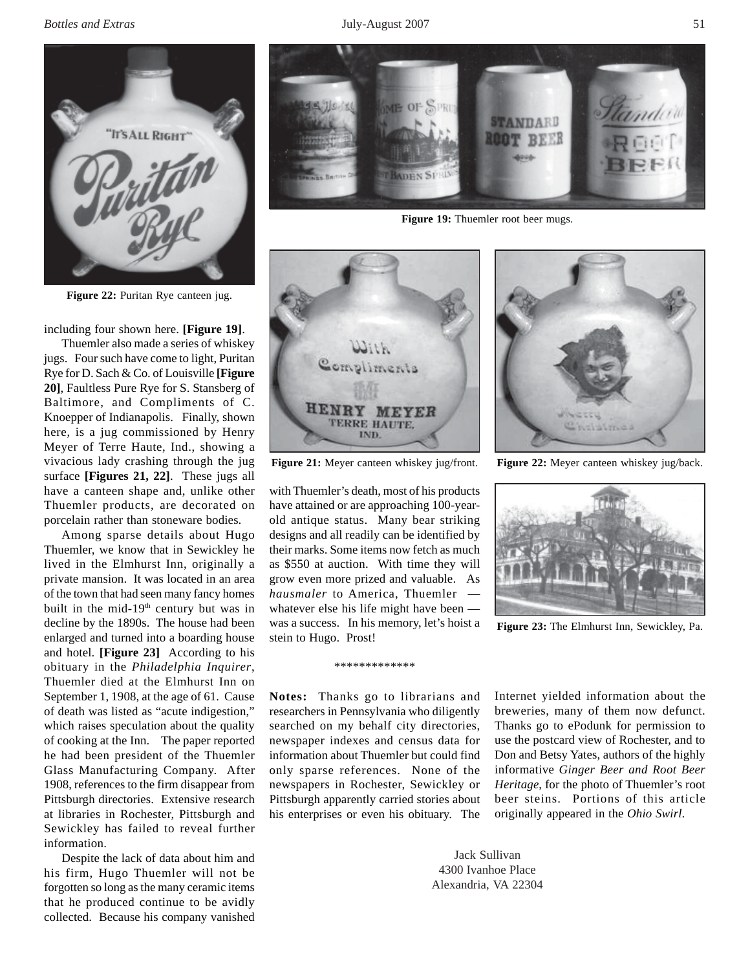*Bottles and Extras* 51 **51** *Bottles and Extras* 51



**Figure 22:** Puritan Rye canteen jug.

including four shown here. **[Figure 19]**.

Thuemler also made a series of whiskey jugs. Four such have come to light, Puritan Rye for D. Sach & Co. of Louisville **[Figure 20]**, Faultless Pure Rye for S. Stansberg of Baltimore, and Compliments of C. Knoepper of Indianapolis. Finally, shown here, is a jug commissioned by Henry Meyer of Terre Haute, Ind., showing a vivacious lady crashing through the jug surface **[Figures 21, 22]**. These jugs all have a canteen shape and, unlike other Thuemler products, are decorated on porcelain rather than stoneware bodies.

Among sparse details about Hugo Thuemler, we know that in Sewickley he lived in the Elmhurst Inn, originally a private mansion. It was located in an area of the town that had seen many fancy homes built in the mid-19<sup>th</sup> century but was in decline by the 1890s. The house had been enlarged and turned into a boarding house and hotel. **[Figure 23]** According to his obituary in the *Philadelphia Inquirer*, Thuemler died at the Elmhurst Inn on September 1, 1908, at the age of 61. Cause of death was listed as "acute indigestion," which raises speculation about the quality of cooking at the Inn. The paper reported he had been president of the Thuemler Glass Manufacturing Company. After 1908, references to the firm disappear from Pittsburgh directories. Extensive research at libraries in Rochester, Pittsburgh and Sewickley has failed to reveal further information.

Despite the lack of data about him and his firm, Hugo Thuemler will not be forgotten so long as the many ceramic items that he produced continue to be avidly collected. Because his company vanished



**Figure 19:** Thuemler root beer mugs.



with Thuemler's death, most of his products have attained or are approaching 100-yearold antique status. Many bear striking designs and all readily can be identified by their marks. Some items now fetch as much as \$550 at auction. With time they will grow even more prized and valuable. As *hausmaler* to America, Thuemler whatever else his life might have been was a success. In his memory, let's hoist a stein to Hugo. Prost!

#### \*\*\*\*\*\*\*\*\*\*\*\*\*

**Notes:** Thanks go to librarians and researchers in Pennsylvania who diligently searched on my behalf city directories, newspaper indexes and census data for information about Thuemler but could find only sparse references. None of the newspapers in Rochester, Sewickley or Pittsburgh apparently carried stories about his enterprises or even his obituary. The

Internet yielded information about the breweries, many of them now defunct. Thanks go to ePodunk for permission to use the postcard view of Rochester, and to Don and Betsy Yates, authors of the highly informative *Ginger Beer and Root Beer Heritage*, for the photo of Thuemler's root beer steins. Portions of this article originally appeared in the *Ohio Swirl*.

Jack Sullivan 4300 Ivanhoe Place Alexandria, VA 22304

**Considera** 

**Figure 21:** Meyer canteen whiskey jug/front. **Figure 22:** Meyer canteen whiskey jug/back.